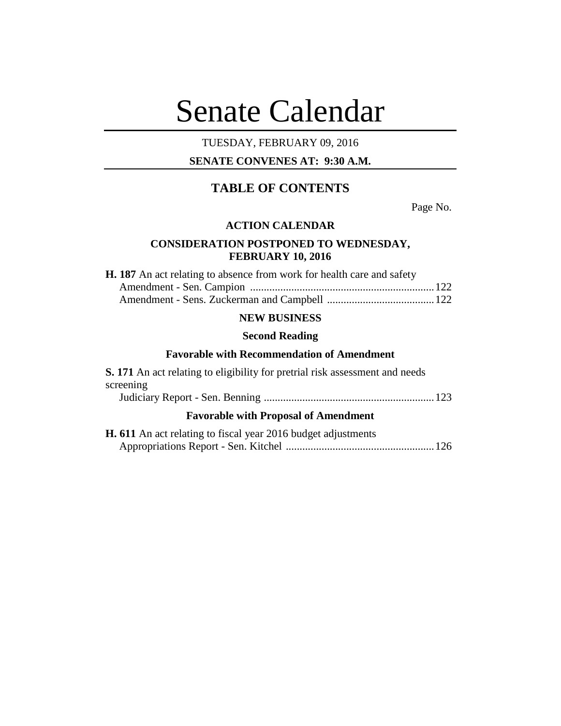# Senate Calendar

# TUESDAY, FEBRUARY 09, 2016

# **SENATE CONVENES AT: 9:30 A.M.**

# **TABLE OF CONTENTS**

Page No.

#### **ACTION CALENDAR**

# **CONSIDERATION POSTPONED TO WEDNESDAY, FEBRUARY 10, 2016**

| <b>H. 187</b> An act relating to absence from work for health care and safety |  |
|-------------------------------------------------------------------------------|--|
|                                                                               |  |
|                                                                               |  |

# **NEW BUSINESS**

# **Second Reading**

# **Favorable with Recommendation of Amendment**

| <b>S. 171</b> An act relating to eligibility for pretrial risk assessment and needs |  |
|-------------------------------------------------------------------------------------|--|
| screening                                                                           |  |
|                                                                                     |  |
| <b>Favorable with Proposal of Amendment</b>                                         |  |
| <b>H. 611</b> An act relating to fiscal year 2016 budget adjustments                |  |
|                                                                                     |  |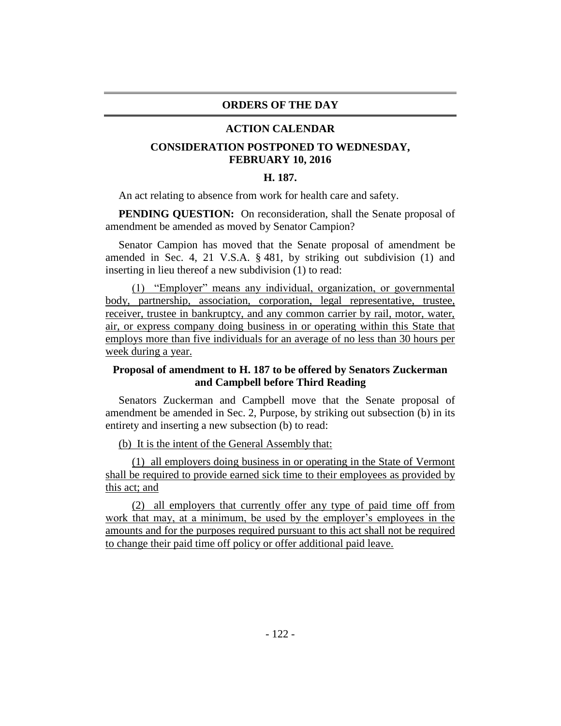#### **ORDERS OF THE DAY**

#### **ACTION CALENDAR**

# **CONSIDERATION POSTPONED TO WEDNESDAY, FEBRUARY 10, 2016**

#### **H. 187.**

An act relating to absence from work for health care and safety.

**PENDING QUESTION:** On reconsideration, shall the Senate proposal of amendment be amended as moved by Senator Campion?

Senator Campion has moved that the Senate proposal of amendment be amended in Sec. 4, 21 V.S.A. § 481, by striking out subdivision (1) and inserting in lieu thereof a new subdivision (1) to read:

(1) "Employer" means any individual, organization, or governmental body, partnership, association, corporation, legal representative, trustee, receiver, trustee in bankruptcy, and any common carrier by rail, motor, water, air, or express company doing business in or operating within this State that employs more than five individuals for an average of no less than 30 hours per week during a year.

# **Proposal of amendment to H. 187 to be offered by Senators Zuckerman and Campbell before Third Reading**

Senators Zuckerman and Campbell move that the Senate proposal of amendment be amended in Sec. 2, Purpose, by striking out subsection (b) in its entirety and inserting a new subsection (b) to read:

(b) It is the intent of the General Assembly that:

(1) all employers doing business in or operating in the State of Vermont shall be required to provide earned sick time to their employees as provided by this act; and

(2) all employers that currently offer any type of paid time off from work that may, at a minimum, be used by the employer's employees in the amounts and for the purposes required pursuant to this act shall not be required to change their paid time off policy or offer additional paid leave.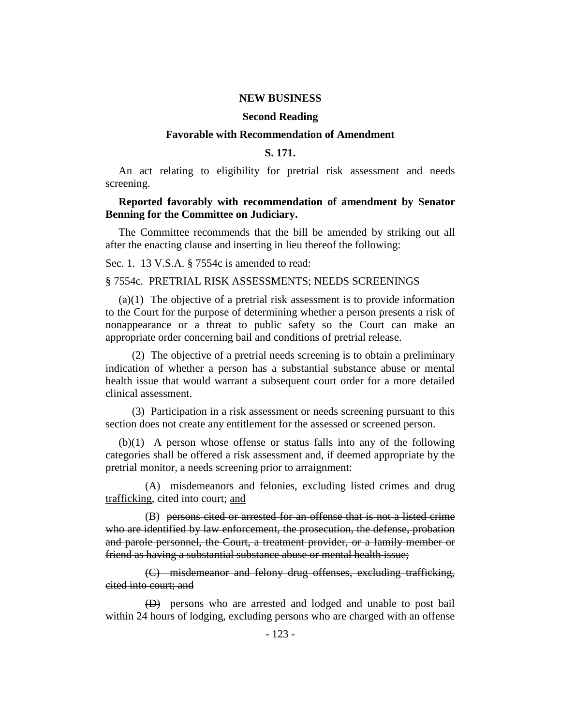#### **NEW BUSINESS**

#### **Second Reading**

#### **Favorable with Recommendation of Amendment**

#### **S. 171.**

An act relating to eligibility for pretrial risk assessment and needs screening.

# **Reported favorably with recommendation of amendment by Senator Benning for the Committee on Judiciary.**

The Committee recommends that the bill be amended by striking out all after the enacting clause and inserting in lieu thereof the following:

Sec. 1. 13 V.S.A. § 7554c is amended to read:

#### § 7554c. PRETRIAL RISK ASSESSMENTS; NEEDS SCREENINGS

(a)(1) The objective of a pretrial risk assessment is to provide information to the Court for the purpose of determining whether a person presents a risk of nonappearance or a threat to public safety so the Court can make an appropriate order concerning bail and conditions of pretrial release.

(2) The objective of a pretrial needs screening is to obtain a preliminary indication of whether a person has a substantial substance abuse or mental health issue that would warrant a subsequent court order for a more detailed clinical assessment.

(3) Participation in a risk assessment or needs screening pursuant to this section does not create any entitlement for the assessed or screened person.

(b)(1) A person whose offense or status falls into any of the following categories shall be offered a risk assessment and, if deemed appropriate by the pretrial monitor, a needs screening prior to arraignment:

(A) misdemeanors and felonies, excluding listed crimes and drug trafficking, cited into court; and

(B) persons cited or arrested for an offense that is not a listed crime who are identified by law enforcement, the prosecution, the defense, probation and parole personnel, the Court, a treatment provider, or a family member or friend as having a substantial substance abuse or mental health issue;

(C) misdemeanor and felony drug offenses, excluding trafficking, cited into court; and

(D) persons who are arrested and lodged and unable to post bail within 24 hours of lodging, excluding persons who are charged with an offense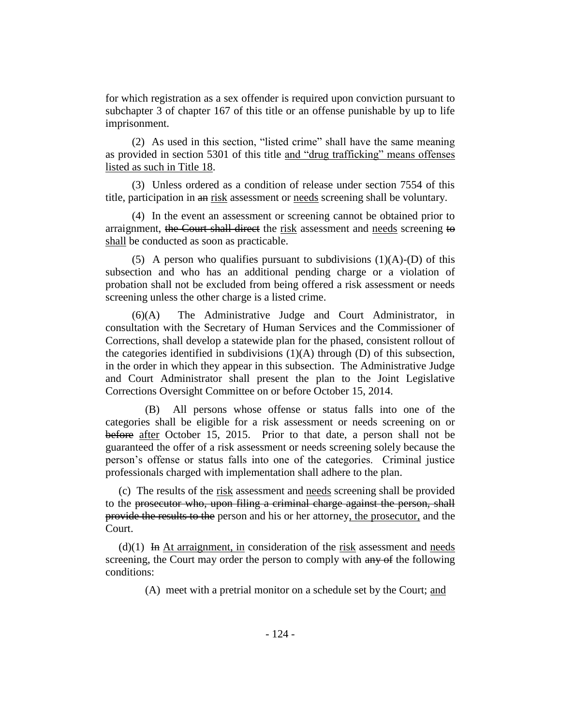for which registration as a sex offender is required upon conviction pursuant to subchapter 3 of chapter 167 of this title or an offense punishable by up to life imprisonment.

(2) As used in this section, "listed crime" shall have the same meaning as provided in section 5301 of this title and "drug trafficking" means offenses listed as such in Title 18.

(3) Unless ordered as a condition of release under section 7554 of this title, participation in an risk assessment or needs screening shall be voluntary.

(4) In the event an assessment or screening cannot be obtained prior to arraignment, the Court shall direct the risk assessment and needs screening to shall be conducted as soon as practicable.

(5) A person who qualifies pursuant to subdivisions  $(1)(A)$ -(D) of this subsection and who has an additional pending charge or a violation of probation shall not be excluded from being offered a risk assessment or needs screening unless the other charge is a listed crime.

(6)(A) The Administrative Judge and Court Administrator, in consultation with the Secretary of Human Services and the Commissioner of Corrections, shall develop a statewide plan for the phased, consistent rollout of the categories identified in subdivisions  $(1)(A)$  through  $(D)$  of this subsection, in the order in which they appear in this subsection. The Administrative Judge and Court Administrator shall present the plan to the Joint Legislative Corrections Oversight Committee on or before October 15, 2014.

(B) All persons whose offense or status falls into one of the categories shall be eligible for a risk assessment or needs screening on or before after October 15, 2015. Prior to that date, a person shall not be guaranteed the offer of a risk assessment or needs screening solely because the person's offense or status falls into one of the categories. Criminal justice professionals charged with implementation shall adhere to the plan.

(c) The results of the risk assessment and needs screening shall be provided to the prosecutor who, upon filing a criminal charge against the person, shall provide the results to the person and his or her attorney, the prosecutor, and the Court.

 $(d)(1)$  In At arraignment, in consideration of the risk assessment and needs screening, the Court may order the person to comply with any of the following conditions:

(A) meet with a pretrial monitor on a schedule set by the Court; and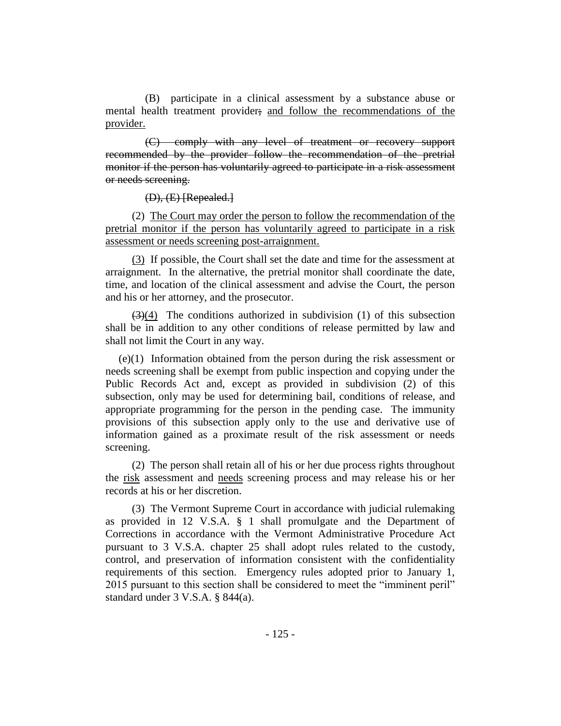(B) participate in a clinical assessment by a substance abuse or mental health treatment provider; and follow the recommendations of the provider.

(C) comply with any level of treatment or recovery support recommended by the provider follow the recommendation of the pretrial monitor if the person has voluntarily agreed to participate in a risk assessment or needs screening.

#### (D), (E) [Repealed.]

(2) The Court may order the person to follow the recommendation of the pretrial monitor if the person has voluntarily agreed to participate in a risk assessment or needs screening post-arraignment.

(3) If possible, the Court shall set the date and time for the assessment at arraignment. In the alternative, the pretrial monitor shall coordinate the date, time, and location of the clinical assessment and advise the Court, the person and his or her attorney, and the prosecutor.

 $\left(\frac{3}{4}\right)$  The conditions authorized in subdivision (1) of this subsection shall be in addition to any other conditions of release permitted by law and shall not limit the Court in any way.

(e)(1) Information obtained from the person during the risk assessment or needs screening shall be exempt from public inspection and copying under the Public Records Act and, except as provided in subdivision (2) of this subsection, only may be used for determining bail, conditions of release, and appropriate programming for the person in the pending case. The immunity provisions of this subsection apply only to the use and derivative use of information gained as a proximate result of the risk assessment or needs screening.

(2) The person shall retain all of his or her due process rights throughout the risk assessment and needs screening process and may release his or her records at his or her discretion.

(3) The Vermont Supreme Court in accordance with judicial rulemaking as provided in 12 V.S.A. § 1 shall promulgate and the Department of Corrections in accordance with the Vermont Administrative Procedure Act pursuant to 3 V.S.A. chapter 25 shall adopt rules related to the custody, control, and preservation of information consistent with the confidentiality requirements of this section. Emergency rules adopted prior to January 1, 2015 pursuant to this section shall be considered to meet the "imminent peril" standard under 3 V.S.A. § 844(a).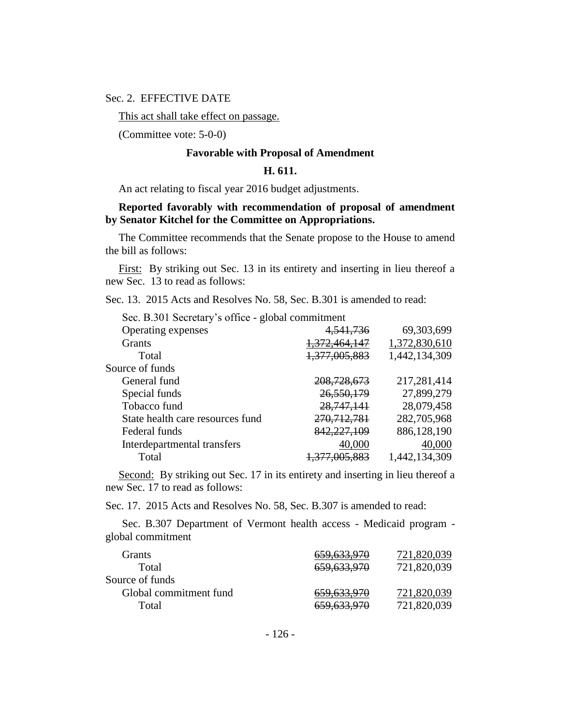## Sec. 2. EFFECTIVE DATE

This act shall take effect on passage.

(Committee vote: 5-0-0)

#### **Favorable with Proposal of Amendment**

#### **H. 611.**

An act relating to fiscal year 2016 budget adjustments.

#### **Reported favorably with recommendation of proposal of amendment by Senator Kitchel for the Committee on Appropriations.**

The Committee recommends that the Senate propose to the House to amend the bill as follows:

First: By striking out Sec. 13 in its entirety and inserting in lieu thereof a new Sec. 13 to read as follows:

Sec. 13. 2015 Acts and Resolves No. 58, Sec. B.301 is amended to read:

Sec. B.301 Secretary's office - global commitment

| Operating expenses               | 4,541,736                | 69,303,699    |
|----------------------------------|--------------------------|---------------|
| <b>Grants</b>                    | <del>1,372,464,147</del> | 1,372,830,610 |
| Total                            | 1,377,005,883            | 1,442,134,309 |
| Source of funds                  |                          |               |
| General fund                     | 208, 728, 673            | 217,281,414   |
| Special funds                    | 26,550,179               | 27,899,279    |
| Tobacco fund                     | 28,747,141               | 28,079,458    |
| State health care resources fund | 270, 712, 781            | 282,705,968   |
| Federal funds                    | 842, 227, 109            | 886,128,190   |
| Interdepartmental transfers      | 40,000                   | 40,000        |
| Total                            | 7,005,883                | 1,442,134,309 |
|                                  |                          |               |

Second: By striking out Sec. 17 in its entirety and inserting in lieu thereof a new Sec. 17 to read as follows:

Sec. 17. 2015 Acts and Resolves No. 58, Sec. B.307 is amended to read:

Sec. B.307 Department of Vermont health access - Medicaid program global commitment

| Grants                 | 659,633,970 | 721,820,039 |
|------------------------|-------------|-------------|
| Total                  | 659,633,970 | 721,820,039 |
| Source of funds        |             |             |
| Global commitment fund | 659,633,970 | 721,820,039 |
| Total                  | 659,633,970 | 721,820,039 |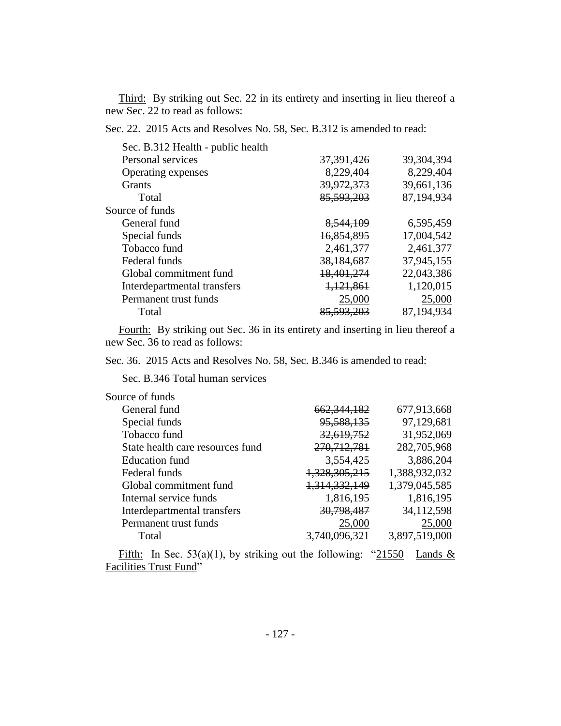Third: By striking out Sec. 22 in its entirety and inserting in lieu thereof a new Sec. 22 to read as follows:

Sec. 22. 2015 Acts and Resolves No. 58, Sec. B.312 is amended to read:

| Sec. B.312 Health - public health |              |              |
|-----------------------------------|--------------|--------------|
| Personal services                 | 37, 391, 426 | 39, 304, 394 |
| Operating expenses                | 8,229,404    | 8,229,404    |
| <b>Grants</b>                     | 39,972,373   | 39,661,136   |
| Total                             | 85,593,203   | 87,194,934   |
| Source of funds                   |              |              |
| General fund                      | 8,544,109    | 6,595,459    |
| Special funds                     | 16,854,895   | 17,004,542   |
| Tobacco fund                      | 2,461,377    | 2,461,377    |
| Federal funds                     | 38,184,687   | 37,945,155   |
| Global commitment fund            | 18,401,274   | 22,043,386   |
| Interdepartmental transfers       | 1,121,861    | 1,120,015    |
| Permanent trust funds             | 25,000       | 25,000       |
| Total                             | 85,593,203   | 87,194,934   |

Fourth: By striking out Sec. 36 in its entirety and inserting in lieu thereof a new Sec. 36 to read as follows:

Sec. 36. 2015 Acts and Resolves No. 58, Sec. B.346 is amended to read:

Sec. B.346 Total human services

| Source of funds                  |               |               |
|----------------------------------|---------------|---------------|
| General fund                     | 662, 344, 182 | 677,913,668   |
| Special funds                    | 95,588,135    | 97,129,681    |
| Tobacco fund                     | 32,619,752    | 31,952,069    |
| State health care resources fund | 270, 712, 781 | 282,705,968   |
| <b>Education fund</b>            | 3,554,425     | 3,886,204     |
| Federal funds                    | 1,328,305,215 | 1,388,932,032 |
| Global commitment fund           | 1,314,332,149 | 1,379,045,585 |
| Internal service funds           | 1,816,195     | 1,816,195     |
| Interdepartmental transfers      | 30,798,487    | 34,112,598    |
| Permanent trust funds            | 25.000        | 25,000        |
| Total                            |               | 3,897,519,000 |
|                                  |               |               |

Fifth: In Sec. 53(a)(1), by striking out the following: "21550 Lands  $&$ Facilities Trust Fund"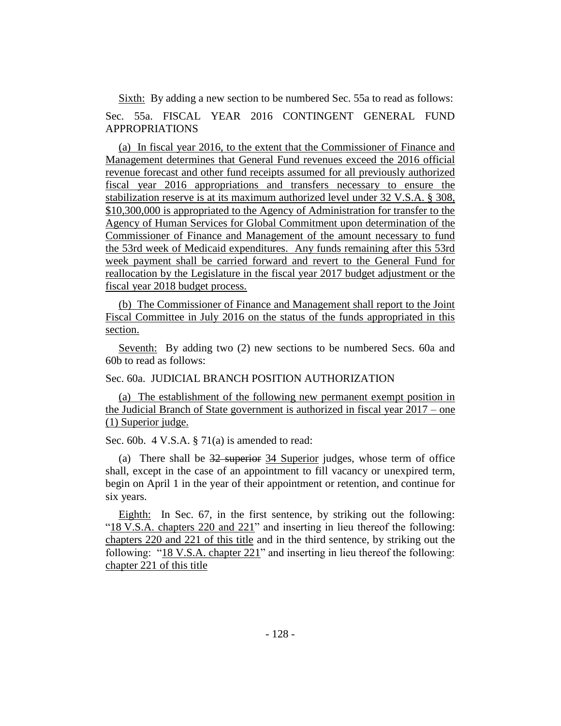Sixth: By adding a new section to be numbered Sec. 55a to read as follows: Sec. 55a. FISCAL YEAR 2016 CONTINGENT GENERAL FUND APPROPRIATIONS

(a) In fiscal year 2016, to the extent that the Commissioner of Finance and Management determines that General Fund revenues exceed the 2016 official revenue forecast and other fund receipts assumed for all previously authorized fiscal year 2016 appropriations and transfers necessary to ensure the stabilization reserve is at its maximum authorized level under 32 V.S.A. § 308, \$10,300,000 is appropriated to the Agency of Administration for transfer to the Agency of Human Services for Global Commitment upon determination of the Commissioner of Finance and Management of the amount necessary to fund the 53rd week of Medicaid expenditures. Any funds remaining after this 53rd week payment shall be carried forward and revert to the General Fund for reallocation by the Legislature in the fiscal year 2017 budget adjustment or the fiscal year 2018 budget process.

(b) The Commissioner of Finance and Management shall report to the Joint Fiscal Committee in July 2016 on the status of the funds appropriated in this section.

Seventh: By adding two (2) new sections to be numbered Secs. 60a and 60b to read as follows:

Sec. 60a. JUDICIAL BRANCH POSITION AUTHORIZATION

(a) The establishment of the following new permanent exempt position in the Judicial Branch of State government is authorized in fiscal year 2017 – one (1) Superior judge.

Sec. 60b. 4 V.S.A. § 71(a) is amended to read:

(a) There shall be 32 superior 34 Superior judges, whose term of office shall, except in the case of an appointment to fill vacancy or unexpired term, begin on April 1 in the year of their appointment or retention, and continue for six years.

Eighth: In Sec. 67, in the first sentence, by striking out the following: "18 V.S.A. chapters 220 and 221" and inserting in lieu thereof the following: chapters 220 and 221 of this title and in the third sentence, by striking out the following: "18 V.S.A. chapter 221" and inserting in lieu thereof the following: chapter 221 of this title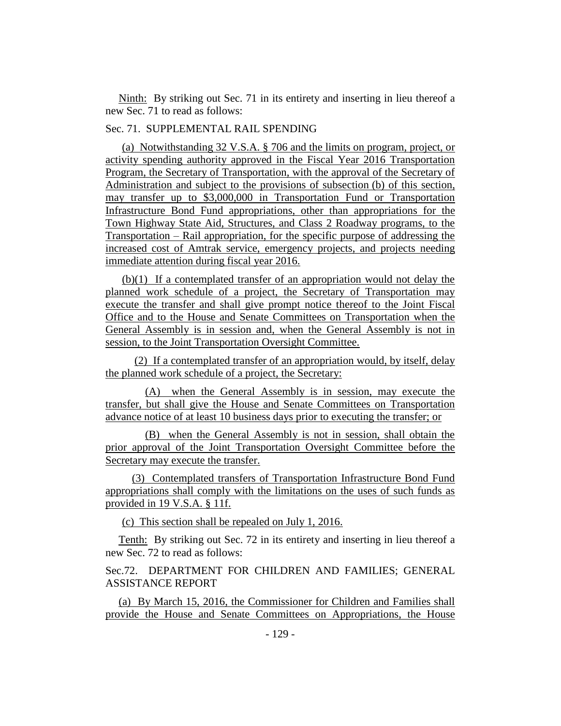Ninth: By striking out Sec. 71 in its entirety and inserting in lieu thereof a new Sec. 71 to read as follows:

#### Sec. 71. SUPPLEMENTAL RAIL SPENDING

(a) Notwithstanding 32 V.S.A. § 706 and the limits on program, project, or activity spending authority approved in the Fiscal Year 2016 Transportation Program, the Secretary of Transportation, with the approval of the Secretary of Administration and subject to the provisions of subsection (b) of this section, may transfer up to \$3,000,000 in Transportation Fund or Transportation Infrastructure Bond Fund appropriations, other than appropriations for the Town Highway State Aid, Structures, and Class 2 Roadway programs, to the Transportation – Rail appropriation, for the specific purpose of addressing the increased cost of Amtrak service, emergency projects, and projects needing immediate attention during fiscal year 2016.

(b)(1) If a contemplated transfer of an appropriation would not delay the planned work schedule of a project, the Secretary of Transportation may execute the transfer and shall give prompt notice thereof to the Joint Fiscal Office and to the House and Senate Committees on Transportation when the General Assembly is in session and, when the General Assembly is not in session, to the Joint Transportation Oversight Committee.

(2) If a contemplated transfer of an appropriation would, by itself, delay the planned work schedule of a project, the Secretary:

(A) when the General Assembly is in session, may execute the transfer, but shall give the House and Senate Committees on Transportation advance notice of at least 10 business days prior to executing the transfer; or

(B) when the General Assembly is not in session, shall obtain the prior approval of the Joint Transportation Oversight Committee before the Secretary may execute the transfer.

(3) Contemplated transfers of Transportation Infrastructure Bond Fund appropriations shall comply with the limitations on the uses of such funds as provided in 19 V.S.A. § 11f.

(c) This section shall be repealed on July 1, 2016.

Tenth: By striking out Sec. 72 in its entirety and inserting in lieu thereof a new Sec. 72 to read as follows:

Sec.72. DEPARTMENT FOR CHILDREN AND FAMILIES; GENERAL ASSISTANCE REPORT

(a) By March 15, 2016, the Commissioner for Children and Families shall provide the House and Senate Committees on Appropriations, the House